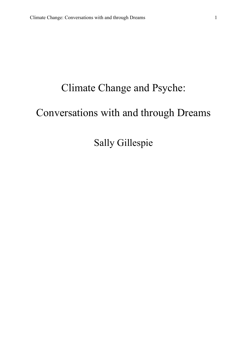# Climate Change and Psyche:

## Conversations with and through Dreams

Sally Gillespie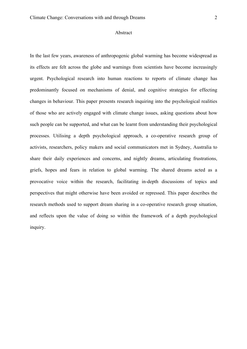#### Abstract

In the last few years, awareness of anthropogenic global warming has become widespread as its effects are felt across the globe and warnings from scientists have become increasingly urgent. Psychological research into human reactions to reports of climate change has predominantly focused on mechanisms of denial, and cognitive strategies for effecting changes in behaviour. This paper presents research inquiring into the psychological realities of those who are actively engaged with climate change issues, asking questions about how such people can be supported, and what can be learnt from understanding their psychological processes. Utilising a depth psychological approach, a co-operative research group of activists, researchers, policy makers and social communicators met in Sydney, Australia to share their daily experiences and concerns, and nightly dreams, articulating frustrations, griefs, hopes and fears in relation to global warming. The shared dreams acted as a provocative voice within the research, facilitating in-depth discussions of topics and perspectives that might otherwise have been avoided or repressed. This paper describes the research methods used to support dream sharing in a co-operative research group situation, and reflects upon the value of doing so within the framework of a depth psychological inquiry.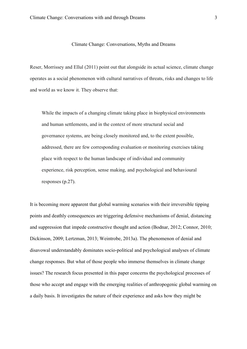#### Climate Change: Conversations, Myths and Dreams

Reser, Morrissey and Ellul (2011) point out that alongside its actual science, climate change operates as a social phenomenon with cultural narratives of threats, risks and changes to life and world as we know it. They observe that:

While the impacts of a changing climate taking place in biophysical environments and human settlements, and in the context of more structural social and governance systems, are being closely monitored and, to the extent possible, addressed, there are few corresponding evaluation or monitoring exercises taking place with respect to the human landscape of individual and community experience, risk perception, sense making, and psychological and behavioural responses (p.27).

It is becoming more apparent that global warming scenarios with their irreversible tipping points and deathly consequences are triggering defensive mechanisms of denial, distancing and suppression that impede constructive thought and action (Bodnar, 2012; Connor, 2010; Dickinson, 2009; Lertzman, 2013; Weintrobe, 2013a). The phenomenon of denial and disavowal understandably dominates socio-political and psychological analyses of climate change responses. But what of those people who immerse themselves in climate change issues? The research focus presented in this paper concerns the psychological processes of those who accept and engage with the emerging realities of anthropogenic global warming on a daily basis. It investigates the nature of their experience and asks how they might be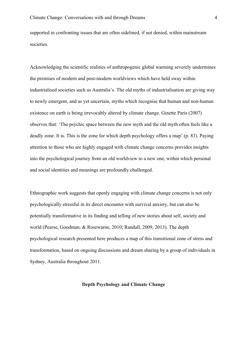supported in confronting issues that are often sidelined, if not denied, within mainstream societies.

Acknowledging the scientific realities of anthropogenic global warming severely undermines the premises of modern and post-modern worldviews which have held sway within industrialised societies such as Australia's. The old myths of industrialisation are giving way to newly emergent, and as yet uncertain, myths which recognise that human and non-human existence on earth is being irrevocably altered by climate change. Ginette Paris (2007) observes that: 'The psychic space between the new myth and the old myth often feels like a deadly zone. It is. This is the zone for which depth psychology offers a map' (p. 83). Paying attention to those who are highly engaged with climate change concerns provides insights into the psychological journey from an old worldview to a new one, within which personal and social identities and meanings are profoundly challenged.

Ethnographic work suggests that openly engaging with climate change concerns is not only psychologically stressful in its direct encounter with survival anxiety, but can also be potentially transformative in its finding and telling of new stories about self, society and world (Pearse, Goodman, & Rosewarne, 2010; Randall, 2009, 2013). The depth psychological research presented here produces a map of this transitional zone of stress and transformation, based on ongoing discussions and dream sharing by a group of individuals in Sydney, Australia throughout 2011.

## **Depth Psychology and Climate Change**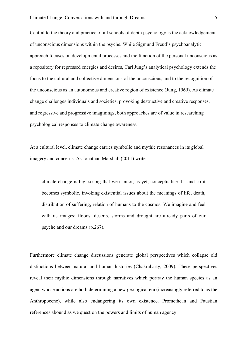Central to the theory and practice of all schools of depth psychology is the acknowledgement of unconscious dimensions within the psyche. While Sigmund Freud's psychoanalytic approach focuses on developmental processes and the function of the personal unconscious as a repository for repressed energies and desires, Carl Jung's analytical psychology extends the focus to the cultural and collective dimensions of the unconscious, and to the recognition of the unconscious as an autonomous and creative region of existence (Jung, 1969). As climate change challenges individuals and societies, provoking destructive and creative responses, and regressive and progressive imaginings, both approaches are of value in researching psychological responses to climate change awareness.

At a cultural level, climate change carries symbolic and mythic resonances in its global imagery and concerns. As Jonathan Marshall (2011) writes:

climate change is big, so big that we cannot, as yet, conceptualise it... and so it becomes symbolic, invoking existential issues about the meanings of life, death, distribution of suffering, relation of humans to the cosmos. We imagine and feel with its images; floods, deserts, storms and drought are already parts of our psyche and our dreams (p.267).

Furthermore climate change discussions generate global perspectives which collapse old distinctions between natural and human histories (Chakrabarty, 2009). These perspectives reveal their mythic dimensions through narratives which portray the human species as an agent whose actions are both determining a new geological era (increasingly referred to as the Anthropocene), while also endangering its own existence. Promethean and Faustian references abound as we question the powers and limits of human agency.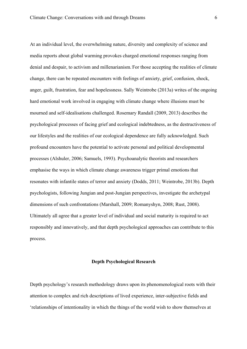At an individual level, the overwhelming nature, diversity and complexity of science and media reports about global warming provokes charged emotional responses ranging from denial and despair, to activism and millenarianism.. For those accepting the realities of climate change, there can be repeated encounters with feelings of anxiety, grief, confusion, shock, anger, guilt, frustration, fear and hopelessness. Sally Weintrobe (2013a) writes of the ongoing hard emotional work involved in engaging with climate change where illusions must be mourned and self-idealisations challenged. Rosemary Randall (2009, 2013) describes the psychological processes of facing grief and ecological indebtedness, as the destructiveness of our lifestyles and the realities of our ecological dependence are fully acknowledged. Such profound encounters have the potential to activate personal and political developmental processes (Alshuler, 2006; Samuels, 1993). Psychoanalytic theorists and researchers emphasise the ways in which climate change awareness trigger primal emotions that resonates with infantile states of terror and anxiety (Dodds, 2011; Weintrobe, 2013b). Depth psychologists, following Jungian and post-Jungian perspectives, investigate the archetypal dimensions of such confrontations (Marshall, 2009; Romanyshyn, 2008; Rust, 2008). Ultimately all agree that a greater level of individual and social maturity is required to act responsibly and innovatively, and that depth psychological approaches can contribute to this process.

## **Depth Psychological Research**

Depth psychology's research methodology draws upon its phenomenological roots with their attention to complex and rich descriptions of lived experience, inter-subjective fields and 'relationships of intentionality in which the things of the world wish to show themselves at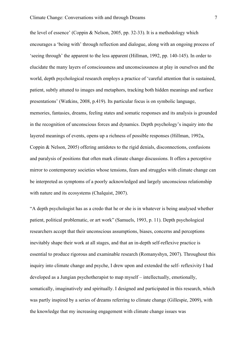the level of essence' (Coppin & Nelson, 2005, pp. 32-33). It is a methodology which encourages a 'being with' through reflection and dialogue, along with an ongoing process of 'seeing through' the apparent to the less apparent (Hillman, 1992, pp. 140-145). In order to elucidate the many layers of consciousness and unconsciousness at play in ourselves and the world, depth psychological research employs a practice of 'careful attention that is sustained, patient, subtly attuned to images and metaphors, tracking both hidden meanings and surface presentations' (Watkins, 2008, p.419). Its particular focus is on symbolic language, memories, fantasies, dreams, feeling states and somatic responses and its analysis is grounded in the recognition of unconscious forces and dynamics. Depth psychology's inquiry into the layered meanings of events, opens up a richness of possible responses (Hillman, 1992a, Coppin & Nelson, 2005) offering antidotes to the rigid denials, disconnections, confusions and paralysis of positions that often mark climate change discussions. It offers a perceptive mirror to contemporary societies whose tensions, fears and struggles with climate change can be interpreted as symptoms of a poorly acknowledged and largely unconscious relationship with nature and its ecosystems (Chalquist, 2007).

"A depth psychologist has as a credo that he or she is in whatever is being analysed whether patient, political problematic, or art work" (Samuels, 1993, p. 11). Depth psychological researchers accept that their unconscious assumptions, biases, concerns and perceptions inevitably shape their work at all stages, and that an in-depth self-reflexive practice is essential to produce rigorous and examinable research (Romanyshyn, 2007). Throughout this inquiry into climate change and psyche, I drew upon and extended the self- reflexivity I had developed as a Jungian psychotherapist to map myself – intellectually, emotionally, somatically, imaginatively and spiritually. I designed and participated in this research, which was partly inspired by a series of dreams referring to climate change (Gillespie, 2009), with the knowledge that my increasing engagement with climate change issues was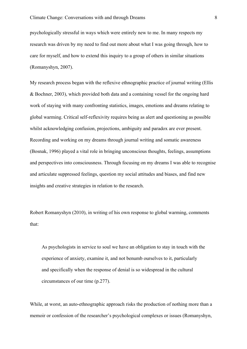psychologically stressful in ways which were entirely new to me. In many respects my research was driven by my need to find out more about what I was going through, how to care for myself, and how to extend this inquiry to a group of others in similar situations (Romanyshyn, 2007).

My research process began with the reflexive ethnographic practice of journal writing (Ellis & Bochner, 2003), which provided both data and a containing vessel for the ongoing hard work of staying with many confronting statistics, images, emotions and dreams relating to global warming. Critical self-reflexivity requires being as alert and questioning as possible whilst acknowledging confusion, projections, ambiguity and paradox are ever present. Recording and working on my dreams through journal writing and somatic awareness (Bosnak, 1996) played a vital role in bringing unconscious thoughts, feelings, assumptions and perspectives into consciousness. Through focusing on my dreams I was able to recognise and articulate suppressed feelings, question my social attitudes and biases, and find new insights and creative strategies in relation to the research.

Robert Romanyshyn (2010), in writing of his own response to global warming, comments that:

As psychologists in service to soul we have an obligation to stay in touch with the experience of anxiety, examine it, and not benumb ourselves to it, particularly and specifically when the response of denial is so widespread in the cultural circumstances of our time (p.277).

While, at worst, an auto-ethnographic approach risks the production of nothing more than a memoir or confession of the researcher's psychological complexes or issues (Romanyshyn,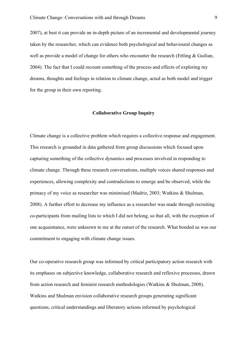2007), at best it can provide an in-depth picture of an incremental and developmental journey taken by the researcher, which can evidence both psychological and behavioural changes as well as provide a model of change for others who encounter the research (Ettling & Guilian, 2004). The fact that I could recount something of the process and effects of exploring my dreams, thoughts and feelings in relation to climate change, acted as both model and trigger for the group in their own reporting.

## **Collaborative Group Inquiry**

Climate change is a collective problem which requires a collective response and engagement. This research is grounded in data gathered from group discussions which focused upon capturing something of the collective dynamics and processes involved in responding to climate change. Through these research conversations, multiple voices shared responses and experiences, allowing complexity and contradictions to emerge and be observed, while the primacy of my voice as researcher was minimised (Madriz, 2003; Watkins & Shulman, 2008). A further effort to decrease my influence as a researcher was made through recruiting co-participants from mailing lists to which I did not belong, so that all, with the exception of one acquaintance, were unknown to me at the outset of the research. What bonded us was our commitment to engaging with climate change issues.

Our co-operative research group was informed by critical participatory action research with its emphases on subjective knowledge, collaborative research and reflexive processes, drawn from action research and feminist research methodologies (Watkins & Shulman, 2008). Watkins and Shulman envision collaborative research groups generating significant questions, critical understandings and liberatory actions informed by psychological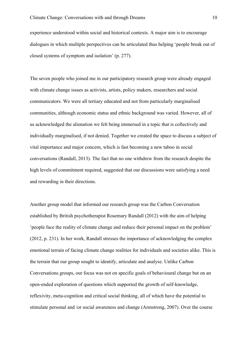experience understood within social and historical contexts. A major aim is to encourage dialogues in which multiple perspectives can be articulated thus helping 'people break out of closed systems of symptom and isolation' (p. 277).

The seven people who joined me in our participatory research group were already engaged with climate change issues as activists, artists, policy makers, researchers and social communicators. We were all tertiary educated and not from particularly marginalised communities, although economic status and ethnic background was varied. However, all of us acknowledged the alienation we felt being immersed in a topic that is collectively and individually marginalised, if not denied. Together we created the space to discuss a subject of vital importance and major concern, which is fast becoming a new taboo in social conversations (Randall, 2013). The fact that no one withdrew from the research despite the high levels of commitment required, suggested that our discussions were satisfying a need and rewarding in their directions.

Another group model that informed our research group was the Carbon Conversation established by British psychotherapist Rosemary Randall (2012) with the aim of helping 'people face the reality of climate change and reduce their personal impact on the problem' (2012, p. 231). In her work, Randall stresses the importance of acknowledging the complex emotional terrain of facing climate change realities for individuals and societies alike. This is the terrain that our group sought to identify, articulate and analyse. Unlike Carbon Conversations groups, our focus was not on specific goals of behavioural change but on an open-ended exploration of questions which supported the growth of self-knowledge, reflexivity, meta-cognition and critical social thinking, all of which have the potential to stimulate personal and /or social awareness and change (Armstrong, 2007). Over the course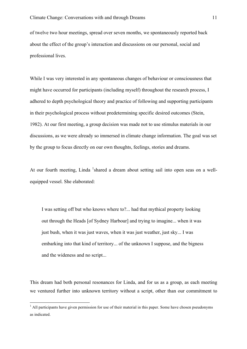of twelve two hour meetings, spread over seven months, we spontaneously reported back about the effect of the group's interaction and discussions on our personal, social and professional lives.

While I was very interested in any spontaneous changes of behaviour or consciousness that might have occurred for participants (including myself) throughout the research process, I adhered to depth psychological theory and practice of following and supporting participants in their psychological process without predetermining specific desired outcomes (Stein, 1982). At our first meeting, a group decision was made not to use stimulus materials in our discussions, as we were already so immersed in climate change information. The goal was set by the group to focus directly on our own thoughts, feelings, stories and dreams.

At our fourth meeting, Linda <sup>1</sup>shared a dream about setting sail into open seas on a wellequipped vessel. She elaborated:

I was setting off but who knows where to?... had that mythical property looking out through the Heads [of Sydney Harbour] and trying to imagine... when it was just bush, when it was just waves, when it was just weather, just sky... I was embarking into that kind of territory... of the unknown I suppose, and the bigness and the wideness and no script...

This dream had both personal resonances for Linda, and for us as a group, as each meeting we ventured further into unknown territory without a script, other than our commitment to

<sup>&</sup>lt;sup>1</sup> All participants have given permission for use of their material in this paper. Some have chosen pseudonyms as indicated.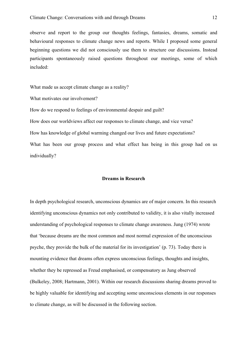observe and report to the group our thoughts feelings, fantasies, dreams, somatic and behavioural responses to climate change news and reports. While I proposed some general beginning questions we did not consciously use them to structure our discussions. Instead participants spontaneously raised questions throughout our meetings, some of which included:

What made us accept climate change as a reality?

What motivates our involvement?

How do we respond to feelings of environmental despair and guilt?

How does our worldviews affect our responses to climate change, and vice versa?

How has knowledge of global warming changed our lives and future expectations?

What has been our group process and what effect has being in this group had on us individually?

#### **Dreams in Research**

In depth psychological research, unconscious dynamics are of major concern. In this research identifying unconscious dynamics not only contributed to validity, it is also vitally increased understanding of psychological responses to climate change awareness. Jung (1974) wrote that 'because dreams are the most common and most normal expression of the unconscious psyche, they provide the bulk of the material for its investigation' (p. 73). Today there is mounting evidence that dreams often express unconscious feelings, thoughts and insights, whether they be repressed as Freud emphasised, or compensatory as Jung observed (Bulkeley, 2008; Hartmann, 2001). Within our research discussions sharing dreams proved to be highly valuable for identifying and accepting some unconscious elements in our responses to climate change, as will be discussed in the following section.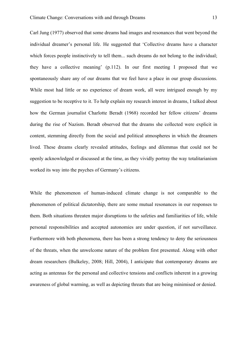Carl Jung (1977) observed that some dreams had images and resonances that went beyond the individual dreamer's personal life. He suggested that 'Collective dreams have a character which forces people instinctively to tell them... such dreams do not belong to the individual; they have a collective meaning' (p.112). In our first meeting I proposed that we spontaneously share any of our dreams that we feel have a place in our group discussions. While most had little or no experience of dream work, all were intrigued enough by my suggestion to be receptive to it. To help explain my research interest in dreams, I talked about how the German journalist Charlotte Beradt (1968) recorded her fellow citizens' dreams during the rise of Nazism. Beradt observed that the dreams she collected were explicit in content, stemming directly from the social and political atmospheres in which the dreamers lived. These dreams clearly revealed attitudes, feelings and dilemmas that could not be openly acknowledged or discussed at the time, as they vividly portray the way totalitarianism worked its way into the psyches of Germany's citizens.

While the phenomenon of human-induced climate change is not comparable to the phenomenon of political dictatorship, there are some mutual resonances in our responses to them. Both situations threaten major disruptions to the safeties and familiarities of life, while personal responsibilities and accepted autonomies are under question, if not surveillance. Furthermore with both phenomena, there has been a strong tendency to deny the seriousness of the threats, when the unwelcome nature of the problem first presented. Along with other dream researchers (Bulkeley, 2008; Hill, 2004), I anticipate that contemporary dreams are acting as antennas for the personal and collective tensions and conflicts inherent in a growing awareness of global warming, as well as depicting threats that are being minimised or denied.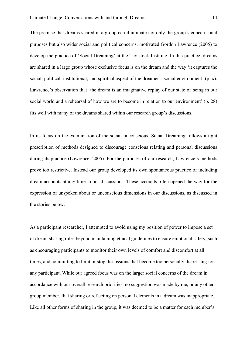The premise that dreams shared in a group can illuminate not only the group's concerns and purposes but also wider social and political concerns, motivated Gordon Lawrence (2005) to develop the practice of 'Social Dreaming' at the Tavistock Institute. In this practice, dreams are shared in a large group whose exclusive focus is on the dream and the way 'it captures the social, political, institutional, and spiritual aspect of the dreamer's social environment' (p.ix). Lawrence's observation that 'the dream is an imaginative replay of our state of being in our social world and a rehearsal of how we are to become in relation to our environment' (p. 28) fits well with many of the dreams shared within our research group's discussions.

In its focus on the examination of the social unconscious, Social Dreaming follows a tight prescription of methods designed to discourage conscious relating and personal discussions during its practice (Lawrence, 2005). For the purposes of our research, Lawrence's methods prove too restrictive. Instead our group developed its own spontaneous practice of including dream accounts at any time in our discussions. These accounts often opened the way for the expression of unspoken about or unconscious dimensions in our discussions, as discussed in the stories below.

As a participant researcher, I attempted to avoid using my position of power to impose a set of dream sharing rules beyond maintaining ethical guidelines to ensure emotional safety, such as encouraging participants to monitor their own levels of comfort and discomfort at all times, and committing to limit or stop discussions that become too personally distressing for any participant. While our agreed focus was on the larger social concerns of the dream in accordance with our overall research priorities, no suggestion was made by me, or any other group member, that sharing or reflecting on personal elements in a dream was inappropriate. Like all other forms of sharing in the group, it was deemed to be a matter for each member's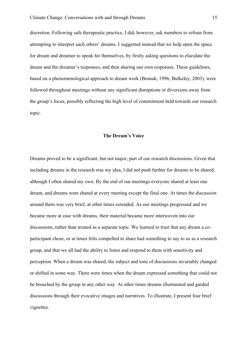discretion. Following safe therapeutic practice, I did, however, ask members to refrain from attempting to interpret each others' dreams. I suggested instead that we help open the space for dream and dreamer to speak for themselves, by firstly asking questions to elucidate the dream and the dreamer's responses, and then sharing our own responses. These guidelines, based on a phenomenological approach to dream work (Bosnak, 1996; Bulkeley, 2003), were followed throughout meetings without any significant disruptions or diversions away from the group's focus, possibly reflecting the high level of commitment held towards our research topic.

#### **The Dream's Voice**

Dreams proved to be a significant, but not major, part of our research discussions. Given that including dreams in the research was my idea, I did not push further for dreams to be shared, although I often shared my own. By the end of our meetings everyone shared at least one dream, and dreams were shared at every meeting except the final one. At times the discussion around them was very brief, at other times extended. As our meetings progressed and we became more at ease with dreams, their material became more interwoven into our discussions, rather than treated as a separate topic. We learned to trust that any dream a coparticipant chose, or at times felts compelled to share had something to say to us as a research group, and that we all had the ability to listen and respond to them with sensitivity and perception. When a dream was shared, the subject and tone of discussions invariably changed or shifted in some way. There were times when the dream expressed something that could not be broached by the group in any other way. At other times dreams illuminated and guided discussions through their evocative images and narratives. To illustrate, I present four brief vignettes.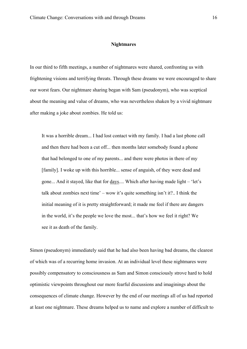#### **Nightmares**

In our third to fifth meetings, a number of nightmares were shared, confronting us with frightening visions and terrifying threats. Through these dreams we were encouraged to share our worst fears. Our nightmare sharing began with Sam (pseudonym), who was sceptical about the meaning and value of dreams, who was nevertheless shaken by a vivid nightmare after making a joke about zombies. He told us:

It was a horrible dream... I had lost contact with my family. I had a last phone call and then there had been a cut off... then months later somebody found a phone that had belonged to one of my parents... and there were photos in there of my [family]. I woke up with this horrible... sense of anguish, of they were dead and gone... And it stayed, like that for days.... Which after having made light – 'let's talk about zombies next time' – wow it's quite something isn't it?.. I think the initial meaning of it is pretty straightforward; it made me feel if there are dangers in the world, it's the people we love the most... that's how we feel it right? We see it as death of the family.

Simon (pseudonym) immediately said that he had also been having bad dreams, the clearest of which was of a recurring home invasion. At an individual level these nightmares were possibly compensatory to consciousness as Sam and Simon consciously strove hard to hold optimistic viewpoints throughout our more fearful discussions and imaginings about the consequences of climate change. However by the end of our meetings all of us had reported at least one nightmare. These dreams helped us to name and explore a number of difficult to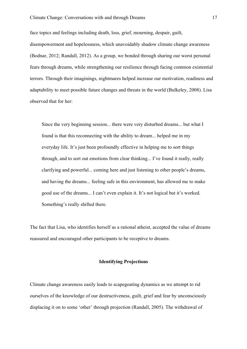face topics and feelings including death, loss, grief, mourning, despair, guilt, disempowerment and hopelessness, which unavoidably shadow climate change awareness (Bodnar, 2012; Randall, 2012). As a group, we bonded through sharing our worst personal fears through dreams, while strengthening our resilience through facing common existential terrors. Through their imaginings, nightmares helped increase our motivation, readiness and adaptability to meet possible future changes and threats in the world (Bulkeley, 2008). Lisa observed that for her:

Since the very beginning session... there were very disturbed dreams... but what I found is that this reconnecting with the ability to dream... helped me in my everyday life. It's just been profoundly effective in helping me to sort things through, and to sort out emotions from clear thinking... I've found it really, really clarifying and powerful... coming here and just listening to other people's dreams, and having the dreams... feeling safe in this environment, has allowed me to make good use of the dreams... I can't even explain it. It's not logical but it's worked. Something's really shifted there.

The fact that Lisa, who identifies herself as a rational atheist, accepted the value of dreams reassured and encouraged other participants to be receptive to dreams.

## **Identifying Projections**

Climate change awareness easily leads to scapegoating dynamics as we attempt to rid ourselves of the knowledge of our destructiveness, guilt, grief and fear by unconsciously displacing it on to some 'other' through projection (Randall, 2005). The withdrawal of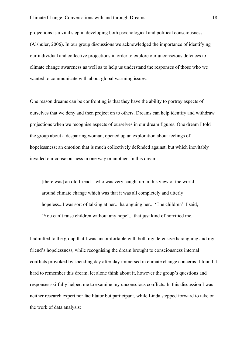projections is a vital step in developing both psychological and political consciousness (Alshuler, 2006). In our group discussions we acknowledged the importance of identifying our individual and collective projections in order to explore our unconscious defences to climate change awareness as well as to help us understand the responses of those who we wanted to communicate with about global warming issues.

One reason dreams can be confronting is that they have the ability to portray aspects of ourselves that we deny and then project on to others. Dreams can help identify and withdraw projections when we recognise aspects of ourselves in our dream figures. One dream I told the group about a despairing woman, opened up an exploration about feelings of hopelessness; an emotion that is much collectively defended against, but which inevitably invaded our consciousness in one way or another. In this dream:

[there was] an old friend... who was very caught up in this view of the world around climate change which was that it was all completely and utterly hopeless...I was sort of talking at her... haranguing her... 'The children', I said, 'You can't raise children without any hope'... that just kind of horrified me.

I admitted to the group that I was uncomfortable with both my defensive haranguing and my friend's hopelessness, while recognising the dream brought to consciousness internal conflicts provoked by spending day after day immersed in climate change concerns. I found it hard to remember this dream, let alone think about it, however the group's questions and responses skilfully helped me to examine my unconscious conflicts. In this discussion I was neither research expert nor facilitator but participant, while Linda stepped forward to take on the work of data analysis: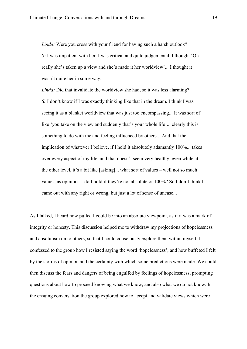*Linda:* Were you cross with your friend for having such a harsh outlook? *S:* I was impatient with her. I was critical and quite judgemental. I thought 'Oh really she's taken up a view and she's made it her worldview'... I thought it wasn't quite her in some way.

*Linda:* Did that invalidate the worldview she had, so it was less alarming? *S:* I don't know if I was exactly thinking like that in the dream. I think I was seeing it as a blanket worldview that was just too encompassing... It was sort of like 'you take on the view and suddenly that's your whole life'... clearly this is something to do with me and feeling influenced by others... And that the implication of whatever I believe, if I hold it absolutely adamantly 100%... takes over every aspect of my life, and that doesn't seem very healthy, even while at the other level, it's a bit like [asking]... what sort of values – well not so much values, as opinions – do I hold if they're not absolute or 100%? So I don't think I came out with any right or wrong, but just a lot of sense of unease...

As I talked, I heard how pulled I could be into an absolute viewpoint, as if it was a mark of integrity or honesty. This discussion helped me to withdraw my projections of hopelessness and absolutism on to others, so that I could consciously explore them within myself. I confessed to the group how I resisted saying the word 'hopelessness', and how buffeted I felt by the storms of opinion and the certainty with which some predictions were made. We could then discuss the fears and dangers of being engulfed by feelings of hopelessness, prompting questions about how to proceed knowing what we know, and also what we do not know. In the ensuing conversation the group explored how to accept and validate views which were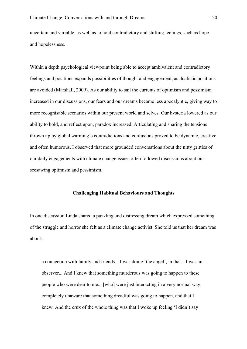uncertain and variable, as well as to hold contradictory and shifting feelings, such as hope and hopelessness.

Within a depth psychological viewpoint being able to accept ambivalent and contradictory feelings and positions expands possibilities of thought and engagement, as dualistic positions are avoided (Marshall, 2009). As our ability to sail the currents of optimism and pessimism increased in our discussions, our fears and our dreams became less apocalyptic, giving way to more recognisable scenarios within our present world and selves. Our hysteria lowered as our ability to hold, and reflect upon, paradox increased. Articulating and sharing the tensions thrown up by global warming's contradictions and confusions proved to be dynamic, creative and often humorous. I observed that more grounded conversations about the nitty gritties of our daily engagements with climate change issues often followed discussions about our seesawing optimism and pessimism.

#### **Challenging Habitual Behaviours and Thoughts**

In one discussion Linda shared a puzzling and distressing dream which expressed something of the struggle and horror she felt as a climate change activist. She told us that her dream was about:

a connection with family and friends... I was doing 'the angel', in that... I was an observer... And I knew that something murderous was going to happen to these people who were dear to me... [who] were just interacting in a very normal way, completely unaware that something dreadful was going to happen, and that I knew. And the crux of the whole thing was that I woke up feeling 'I didn't say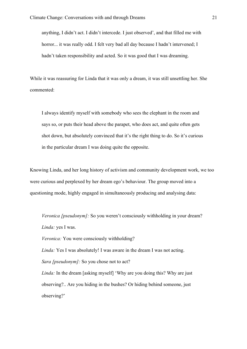anything, I didn't act. I didn't intercede. I just observed', and that filled me with horror... it was really odd. I felt very bad all day because I hadn't intervened; I hadn't taken responsibility and acted. So it was good that I was dreaming.

While it was reassuring for Linda that it was only a dream, it was still unsettling her. She commented:

I always identify myself with somebody who sees the elephant in the room and says so, or puts their head above the parapet, who does act, and quite often gets shot down, but absolutely convinced that it's the right thing to do. So it's curious in the particular dream I was doing quite the opposite.

Knowing Linda, and her long history of activism and community development work, we too were curious and perplexed by her dream ego's behaviour. The group moved into a questioning mode, highly engaged in simultaneously producing and analysing data:

*Veronica [pseudonym]:* So you weren't consciously withholding in your dream? *Linda:* yes I was.

*Veronica:* You were consciously withholding?

*Linda:* Yes I was absolutely! I was aware in the dream I was not acting.

*Sara [pseudonym]:* So you chose not to act?

*Linda:* In the dream [asking myself] 'Why are you doing this? Why are just observing?.. Are you hiding in the bushes? Or hiding behind someone, just observing?'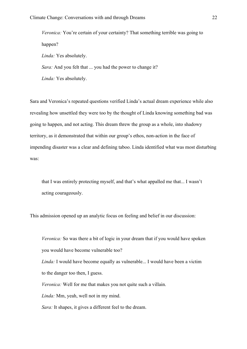*Veronica:* You're certain of your certainty? That something terrible was going to happen? *Linda:* Yes absolutely. *Sara:* And you felt that ... you had the power to change it? *Linda:* Yes absolutely.

Sara and Veronica's repeated questions verified Linda's actual dream experience while also revealing how unsettled they were too by the thought of Linda knowing something bad was going to happen, and not acting. This dream threw the group as a whole, into shadowy territory, as it demonstrated that within our group's ethos, non-action in the face of impending disaster was a clear and defining taboo. Linda identified what was most disturbing was:

that I was entirely protecting myself, and that's what appalled me that... I wasn't acting courageously.

This admission opened up an analytic focus on feeling and belief in our discussion:

*Veronica:* So was there a bit of logic in your dream that if you would have spoken you would have become vulnerable too?

*Linda:* I would have become equally as vulnerable... I would have been a victim to the danger too then, I guess.

*Veronica:* Well for me that makes you not quite such a villain.

*Linda:* Mm, yeah, well not in my mind.

*Sara:* It shapes, it gives a different feel to the dream.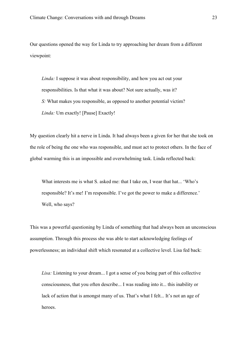Our questions opened the way for Linda to try approaching her dream from a different viewpoint:

*Linda:* I suppose it was about responsibility, and how you act out your responsibilities. Is that what it was about? Not sure actually, was it? *S:* What makes you responsible, as opposed to another potential victim? *Linda:* Um exactly! [Pause] Exactly!

My question clearly hit a nerve in Linda. It had always been a given for her that she took on the role of being the one who was responsible, and must act to protect others. In the face of global warming this is an impossible and overwhelming task. Linda reflected back:

What interests me is what S. asked me: that I take on, I wear that hat... 'Who's responsible? It's me! I'm responsible. I've got the power to make a difference.' Well, who says?

This was a powerful questioning by Linda of something that had always been an unconscious assumption. Through this process she was able to start acknowledging feelings of powerlessness; an individual shift which resonated at a collective level. Lisa fed back:

*Lisa:* Listening to your dream... I got a sense of you being part of this collective consciousness, that you often describe... I was reading into it... this inability or lack of action that is amongst many of us. That's what I felt... It's not an age of heroes.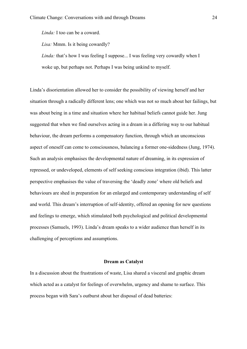*Linda:* I too can be a coward.

*Lisa:* Mmm. Is it being cowardly?

*Linda:* that's how I was feeling I suppose... I was feeling very cowardly when I woke up, but perhaps not. Perhaps I was being unkind to myself.

Linda's disorientation allowed her to consider the possibility of viewing herself and her situation through a radically different lens; one which was not so much about her failings, but was about being in a time and situation where her habitual beliefs cannot guide her. Jung suggested that when we find ourselves acting in a dream in a differing way to our habitual behaviour, the dream performs a compensatory function, through which an unconscious aspect of oneself can come to consciousness, balancing a former one-sidedness (Jung, 1974). Such an analysis emphasises the developmental nature of dreaming, in its expression of repressed, or undeveloped, elements of self seeking conscious integration (ibid). This latter perspective emphasises the value of traversing the 'deadly zone' where old beliefs and behaviours are shed in preparation for an enlarged and contemporary understanding of self and world. This dream's interruption of self-identity, offered an opening for new questions and feelings to emerge, which stimulated both psychological and political developmental processes (Samuels, 1993). Linda's dream speaks to a wider audience than herself in its challenging of perceptions and assumptions.

#### **Dream as Catalyst**

In a discussion about the frustrations of waste, Lisa shared a visceral and graphic dream which acted as a catalyst for feelings of overwhelm, urgency and shame to surface. This process began with Sara's outburst about her disposal of dead batteries: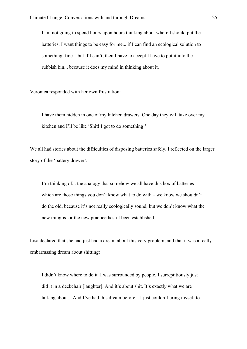I am not going to spend hours upon hours thinking about where I should put the batteries. I want things to be easy for me... if I can find an ecological solution to something, fine – but if I can't, then I have to accept I have to put it into the rubbish bin... because it does my mind in thinking about it.

Veronica responded with her own frustration:

I have them hidden in one of my kitchen drawers. One day they will take over my kitchen and I'll be like 'Shit! I got to do something!'

We all had stories about the difficulties of disposing batteries safely. I reflected on the larger story of the 'battery drawer':

I'm thinking of... the analogy that somehow we all have this box of batteries which are those things you don't know what to do with – we know we shouldn't do the old, because it's not really ecologically sound, but we don't know what the new thing is, or the new practice hasn't been established.

Lisa declared that she had just had a dream about this very problem, and that it was a really embarrassing dream about shitting:

I didn't know where to do it. I was surrounded by people. I surreptitiously just did it in a deckchair [laughter]. And it's about shit. It's exactly what we are talking about... And I've had this dream before... I just couldn't bring myself to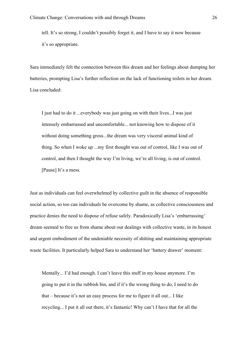tell. It's so strong, I couldn't possibly forget it, and I have to say it now because it's so appropriate.

Sara immediately felt the connection between this dream and her feelings about dumping her batteries, prompting Lisa's further reflection on the lack of functioning toilets in her dream. Lisa concluded:

I just had to do it ...everybody was just going on with their lives...I was just intensely embarrassed and uncomfortable... not knowing how to dispose of it without doing something gross...the dream was very visceral animal kind of thing. So when I woke up ...my first thought was out of control, like I was out of control, and then I thought the way I'm living, we're all living, is out of control. [Pause] It's a mess.

Just as individuals can feel overwhelmed by collective guilt in the absence of responsible social action, so too can individuals be overcome by shame, as collective consciousness and practice denies the need to dispose of refuse safely. Paradoxically Lisa's 'embarrassing' dream seemed to free us from shame about our dealings with collective waste, in its honest and urgent embodiment of the undeniable necessity of shitting and maintaining appropriate waste facilities. It particularly helped Sara to understand her 'battery drawer' moment:

Mentally... I'd had enough. I can't leave this stuff in my house anymore. I'm going to put it in the rubbish bin, and if it's the wrong thing to do, I need to do that – because it's not an easy process for me to figure it all out... I like recycling... I put it all out there, it's fantastic! Why can't I have that for all the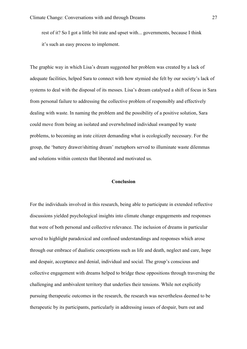rest of it? So I got a little bit irate and upset with... governments, because I think it's such an easy process to implement.

The graphic way in which Lisa's dream suggested her problem was created by a lack of adequate facilities, helped Sara to connect with how stymied she felt by our society's lack of systems to deal with the disposal of its messes. Lisa's dream catalysed a shift of focus in Sara from personal failure to addressing the collective problem of responsibly and effectively dealing with waste. In naming the problem and the possibility of a positive solution, Sara could move from being an isolated and overwhelmed individual swamped by waste problems, to becoming an irate citizen demanding what is ecologically necessary. For the group, the 'battery drawer/shitting dream' metaphors served to illuminate waste dilemmas and solutions within contexts that liberated and motivated us.

#### **Conclusion**

For the individuals involved in this research, being able to participate in extended reflective discussions yielded psychological insights into climate change engagements and responses that were of both personal and collective relevance. The inclusion of dreams in particular served to highlight paradoxical and confused understandings and responses which arose through our embrace of dualistic conceptions such as life and death, neglect and care, hope and despair, acceptance and denial, individual and social. The group's conscious and collective engagement with dreams helped to bridge these oppositions through traversing the challenging and ambivalent territory that underlies their tensions. While not explicitly pursuing therapeutic outcomes in the research, the research was nevertheless deemed to be therapeutic by its participants, particularly in addressing issues of despair, burn out and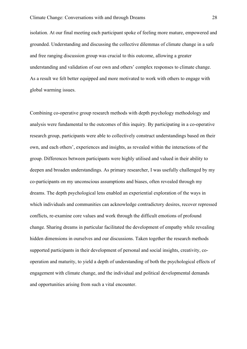isolation. At our final meeting each participant spoke of feeling more mature, empowered and grounded. Understanding and discussing the collective dilemmas of climate change in a safe and free ranging discussion group was crucial to this outcome, allowing a greater understanding and validation of our own and others' complex responses to climate change. As a result we felt better equipped and more motivated to work with others to engage with global warming issues.

Combining co-operative group research methods with depth psychology methodology and analysis were fundamental to the outcomes of this inquiry. By participating in a co-operative research group, participants were able to collectively construct understandings based on their own, and each others', experiences and insights, as revealed within the interactions of the group. Differences between participants were highly utilised and valued in their ability to deepen and broaden understandings. As primary researcher, I was usefully challenged by my co-participants on my unconscious assumptions and biases, often revealed through my dreams. The depth psychological lens enabled an experiential exploration of the ways in which individuals and communities can acknowledge contradictory desires, recover repressed conflicts, re-examine core values and work through the difficult emotions of profound change. Sharing dreams in particular facilitated the development of empathy while revealing hidden dimensions in ourselves and our discussions. Taken together the research methods supported participants in their development of personal and social insights, creativity, cooperation and maturity, to yield a depth of understanding of both the psychological effects of engagement with climate change, and the individual and political developmental demands and opportunities arising from such a vital encounter.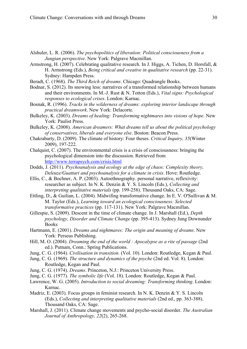- Alshuler, L. R. (2006). *The psychopolitics of liberation: Political consciousness from a Jungian perspective*. New York: Palgrave Macmillan.
- Armstrong, H. (2007). Celebrating qualitative research. In J. Higgs, A. Tichen, D. Horsfall, & H. Armstrong (Eds.), *Being critical and creative in qualitative research* (pp. 22-31). Sydney: Hampden Press.
- Beradt, C. (1968). *The Third Reich of dreams*. Chicago: Quadrangle Books.
- Bodnar, S. (2012). Its snowing less: narratives of a transformed relationship between humans and their environments. In M.-J. Rust & N. Totton (Eds.), *Vital signs: Psychological responses to ecological crises*. London: Karnac.
- Bosnak, R. (1996). *Tracks in the wilderness of dreams: exploring interior landscape through practical dreamwork*. New York: Delacorte.
- Bulkeley, K. (2003). *Dreams of healing: Transforming nightmares into visions of hope*. New York: Paulist Press.
- Bulkeley, K. (2008). *American dreamers: What dreams tell us about the political psychology of conservatives, liberals and everyone else*. Boston: Beacon Press.
- Chakrabarty, D. (2009). The climate of history: Four theses. *Critical Inquiry, 35*(Winter 2009), 197-222.
- Chalquist, C. (2007). The environmental crisis is a crisis of consciousness: bringing the psychological dimension into the discussion. Retrieved from http://www.terrapsych.com/crisis.html
- Dodds, J. (2011). *Psychoanalysis and ecology at the edge of chaos: Complexity theory, Deleuze/Guattari and psychoanalysis for a climate in crisis*. Hove: Routledge.
- Ellis, C., & Bochner, A. P. (2003). Autoethnography. personal narrative, reflexivity: researcher as subject. In N. K. Denzin & Y. S. Lincoln (Eds.), *Collecting and interpreting qualitative materials* (pp. 199-258). Thousand Oaks, CA: Sage.
- Ettling, D., & Guilian, L. (2004). Midwifing transformative change. In E. V. O'Sullivan & M. M. Taylor (Eds.), *Learning toward an ecological consciousness: Selected transformative practices* (pp. 117-131). New York: Palgrave Macmillan.
- Gillespie, S. (2009). Descent in the time of climate change. In J. Marshall (Ed.), *Depth psychology, Disorder and Climate Change* (pp. 395-413). Sydney Jung Downunder **Books**
- Hartmann, E. (2001). *Dreams and nightmares: The origin and meaning of dreams*. New York: Perseus Publishing.
- Hill, M. O. (2004). *Dreaming the end of the world : Apocalypse as a rite of passage* (2nd ed.). Putnam, Conn.: Spring Publications.
- Jung, C. G. (1964). *Civilisation in transition.* (Vol. 10). London: Routledge, Kegan & Paul.
- Jung, C. G. (1969). *The structure and dynamics of the psyche* (2nd ed. Vol. 8). London: Routledge, Kegan and Paul.
- Jung, C. G. (1974). *Dreams*. Princeton, N.J.: Princeton University Press.
- Jung, C. G. (1977). *The symbolic life* (Vol. 18). London: Routledge, Kegan & Paul.
- Lawrence, W. G. (2005). *Introduction to social dreaming: Transforming thinking*. London: Karnac.
- Madriz, E. (2003). Focus groups in feminist research. In N. K. Denzin & Y. S. Lincoln (Eds.), *Collecting and interpreting qualitative materials* (2nd ed., pp. 363-388). Thousand Oaks, CA: Sage.
- Marshall, J. (2011). Climate change movements and psycho-social disorder. *The Australian Journal of Anthropology, 22*(2), 265-268.